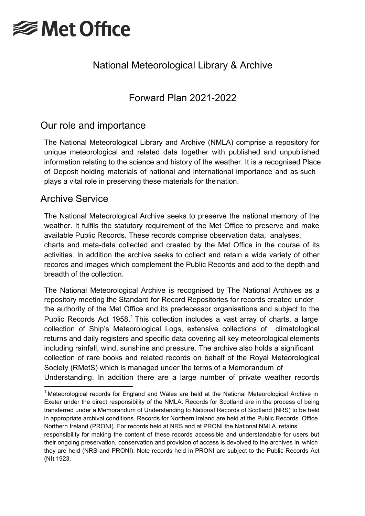

# National Meteorological Library & Archive

Forward Plan 2021-2022

## Our role and importance

The National Meteorological Library and Archive (NMLA) comprise a repository for unique meteorological and related data together with published and unpublished information relating to the science and history of the weather. It is a recognised Place of Deposit holding materials of national and international importance and as such plays a vital role in preserving these materials for the nation.

## Archive Service

The National Meteorological Archive seeks to preserve the national memory of the weather. It fulfils the statutory requirement of the Met Office to preserve and make available Public Records. These records comprise observation data, analyses, charts and meta-data collected and created by the Met Office in the course of its activities. In addition the archive seeks to collect and retain a wide variety of other records and images which complement the Public Records and add to the depth and breadth of the collection.

The National Meteorological Archive is recognised by The National Archives as a repository meeting the Standard for Record Repositories for records created under the authority of the Met Office and its predecessor organisations and subject to the Public Records Act  $1958<sup>1</sup>$  $1958<sup>1</sup>$  This collection includes a vast array of charts, a large collection of Ship's Meteorological Logs, extensive collections of climatological returns and daily registers and specific data covering all key meteorological elements including rainfall, wind, sunshine and pressure. The archive also holds a significant collection of rare books and related records on behalf of the Royal Meteorological Society (RMetS) which is managed under the terms of a Memorandum of Understanding. In addition there are a large number of private weather records

<span id="page-0-0"></span> $1$  Meteorological records for England and Wales are held at the National Meteorological Archive in Exeter under the direct responsibility of the NMLA. Records for Scotland are in the process of being transferred under a Memorandum of Understanding to National Records of Scotland (NRS) to be held in appropriate archival conditions. Records for Northern Ireland are held at the Public Records Office Northern Ireland (PRONI). For records held at NRS and at PRONI the National NMLA retains responsibility for making the content of these records accessible and understandable for users but their ongoing preservation, conservation and provision of access is devolved to the archives in which they are held (NRS and PRONI). Note records held in PRONI are subject to the Public Records Act (NI) 1923.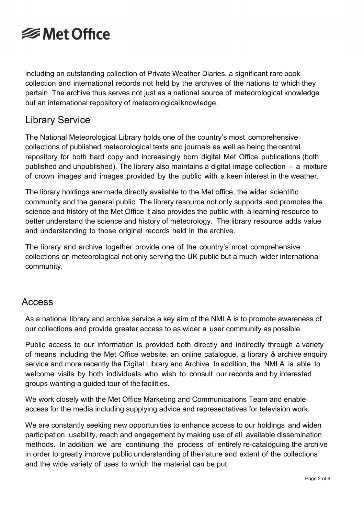

including an outstanding collection of Private Weather Diaries, a significant rare book collection and international records not held by the archives of the nations to which they pertain. The archive thus serves not just as a national source of meteorological knowledge but an international repository of meteorologicalknowledge.

### Library Service

The National Meteorological Library holds one of the country's most comprehensive collections of published meteorological texts and journals as well as being the central repository for both hard copy and increasingly born digital Met Office publications (both published and unpublished). The library also maintains a digital image collection – a mixture of crown images and images provided by the public with a keen interest in the weather.

The library holdings are made directly available to the Met office, the wider scientific community and the general public. The library resource not only supports and promotes the science and history of the Met Office it also provides the public with a learning resource to better understand the science and history of meteorology. The library resource adds value and understanding to those original records held in the archive.

The library and archive together provide one of the country's most comprehensive collections on meteorological not only serving the UK public but a much wider international community.

#### Access

As a national library and archive service a key aim of the NMLA is to promote awareness of our collections and provide greater access to as wider a user community as possible.

Public access to our information is provided both directly and indirectly through a variety of means including the Met Office website, an online catalogue, a library & archive enquiry service and more recently the Digital Library and Archive. In addition, the NMLA is able to welcome visits by both individuals who wish to consult our records and by interested groups wanting a guided tour of the facilities.

We work closely with the Met Office Marketing and Communications Team and enable access for the media including supplying advice and representatives for television work.

We are constantly seeking new opportunities to enhance access to our holdings and widen participation, usability, reach and engagement by making use of all available dissemination methods. In addition we are continuing the process of entirely re-cataloguing the archive in order to greatly improve public understanding of thenature and extent of the collections and the wide variety of uses to which the material can be put.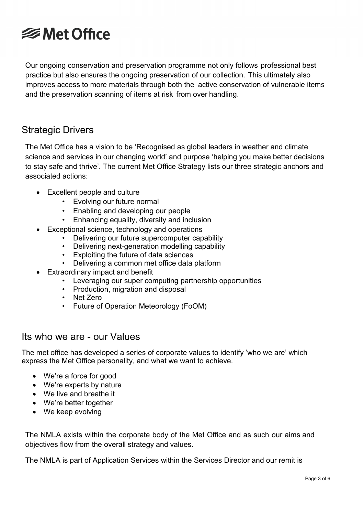

Our ongoing conservation and preservation programme not only follows professional best practice but also ensures the ongoing preservation of our collection. This ultimately also improves access to more materials through both the active conservation of vulnerable items and the preservation scanning of items at risk from over handling.

### Strategic Drivers

The Met Office has a vision to be 'Recognised as global leaders in weather and climate science and services in our changing world' and purpose 'helping you make better decisions to stay safe and thrive'. The current Met Office Strategy lists our three strategic anchors and associated actions:

- Excellent people and culture
	- Evolving our future normal
	- Enabling and developing our people
	- Enhancing equality, diversity and inclusion
- Exceptional science, technology and operations
	- Delivering our future supercomputer capability
	- Delivering next-generation modelling capability
	- Exploiting the future of data sciences
	- Delivering a common met office data platform
- Extraordinary impact and benefit
	- Leveraging our super computing partnership opportunities
	- Production, migration and disposal
	- Net Zero
	- Future of Operation Meteorology (FoOM)

#### Its who we are - our Values

The met office has developed a series of corporate values to identify 'who we are' which express the Met Office personality, and what we want to achieve.

- We're a force for good
- We're experts by nature
- We live and breathe it
- We're better together
- We keep evolving

The NMLA exists within the corporate body of the Met Office and as such our aims and objectives flow from the overall strategy and values.

The NMLA is part of Application Services within the Services Director and our remit is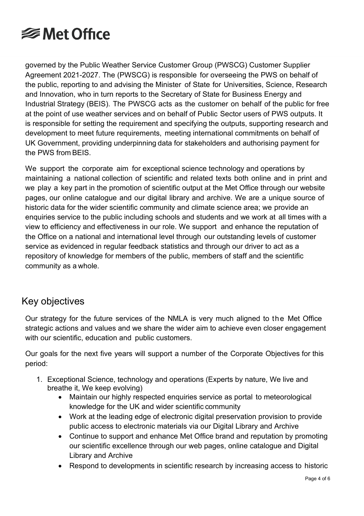

governed by the Public Weather Service Customer Group (PWSCG) Customer Supplier Agreement 2021-2027. The (PWSCG) is responsible for overseeing the PWS on behalf of the public, reporting to and advising the Minister of State for Universities, Science, Research and Innovation, who in turn reports to the Secretary of State for Business Energy and Industrial Strategy (BEIS). The PWSCG acts as the customer on behalf of the public for free at the point of use weather services and on behalf of Public Sector users of PWS outputs. It is responsible for setting the requirement and specifying the outputs, supporting research and development to meet future requirements, meeting international commitments on behalf of UK Government, providing underpinning data for stakeholders and authorising payment for the PWS from BEIS.

We support the corporate aim for exceptional science technology and operations by maintaining a national collection of scientific and related texts both online and in print and we play a key part in the promotion of scientific output at the Met Office through our website pages, our online catalogue and our digital library and archive. We are a unique source of historic data for the wider scientific community and climate science area; we provide an enquiries service to the public including schools and students and we work at all times with a view to efficiency and effectiveness in our role. We support and enhance the reputation of the Office on a national and international level through our outstanding levels of customer service as evidenced in regular feedback statistics and through our driver to act as a repository of knowledge for members of the public, members of staff and the scientific community as a whole.

## Key objectives

Our strategy for the future services of the NMLA is very much aligned to the Met Office strategic actions and values and we share the wider aim to achieve even closer engagement with our scientific, education and public customers.

Our goals for the next five years will support a number of the Corporate Objectives for this period:

- 1. Exceptional Science, technology and operations (Experts by nature, We live and breathe it, We keep evolving)
	- Maintain our highly respected enquiries service as portal to meteorological knowledge for the UK and wider scientific community
	- Work at the leading edge of electronic digital preservation provision to provide public access to electronic materials via our Digital Library and Archive
	- Continue to support and enhance Met Office brand and reputation by promoting our scientific excellence through our web pages, online catalogue and Digital Library and Archive
	- Respond to developments in scientific research by increasing access to historic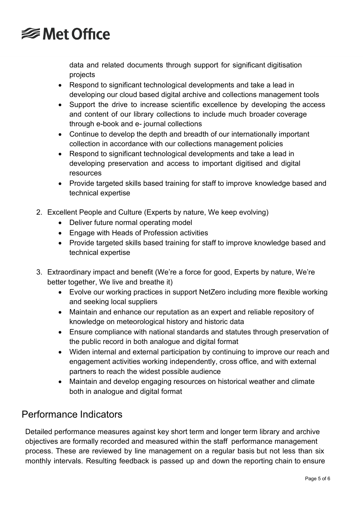

data and related documents through support for significant digitisation projects

- Respond to significant technological developments and take a lead in developing our cloud based digital archive and collections management tools
- Support the drive to increase scientific excellence by developing the access and content of our library collections to include much broader coverage through e-book and e- journal collections
- Continue to develop the depth and breadth of our internationally important collection in accordance with our collections management policies
- Respond to significant technological developments and take a lead in developing preservation and access to important digitised and digital resources
- Provide targeted skills based training for staff to improve knowledge based and technical expertise
- 2. Excellent People and Culture (Experts by nature, We keep evolving)
	- Deliver future normal operating model
	- Engage with Heads of Profession activities
	- Provide targeted skills based training for staff to improve knowledge based and technical expertise
- 3. Extraordinary impact and benefit (We're a force for good, Experts by nature, We're better together, We live and breathe it)
	- Evolve our working practices in support NetZero including more flexible working and seeking local suppliers
	- Maintain and enhance our reputation as an expert and reliable repository of knowledge on meteorological history and historic data
	- Ensure compliance with national standards and statutes through preservation of the public record in both analogue and digital format
	- Widen internal and external participation by continuing to improve our reach and engagement activities working independently, cross office, and with external partners to reach the widest possible audience
	- Maintain and develop engaging resources on historical weather and climate both in analogue and digital format

## Performance Indicators

Detailed performance measures against key short term and longer term library and archive objectives are formally recorded and measured within the staff performance management process. These are reviewed by line management on a regular basis but not less than six monthly intervals. Resulting feedback is passed up and down the reporting chain to ensure